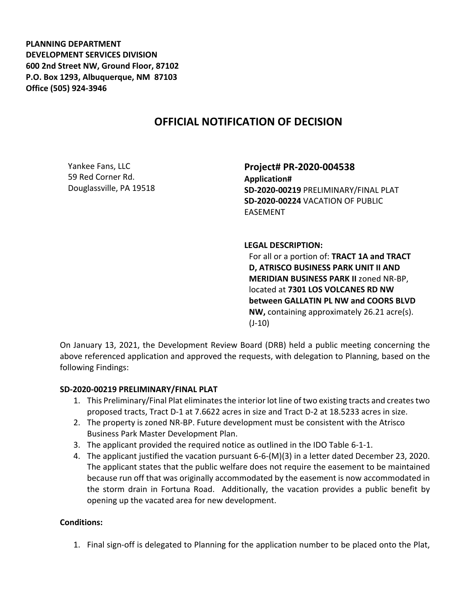**PLANNING DEPARTMENT DEVELOPMENT SERVICES DIVISION 600 2nd Street NW, Ground Floor, 87102 P.O. Box 1293, Albuquerque, NM 87103 Office (505) 924-3946** 

## **OFFICIAL NOTIFICATION OF DECISION**

Yankee Fans, LLC 59 Red Corner Rd. Douglassville, PA 19518 **Project# PR-2020-004538 Application# SD-2020-00219** PRELIMINARY/FINAL PLAT **SD-2020-00224** VACATION OF PUBLIC EASEMENT

**LEGAL DESCRIPTION:**

For all or a portion of: **TRACT 1A and TRACT D, ATRISCO BUSINESS PARK UNIT II AND MERIDIAN BUSINESS PARK II** zoned NR-BP, located at **7301 LOS VOLCANES RD NW between GALLATIN PL NW and COORS BLVD NW,** containing approximately 26.21 acre(s). (J-10)

On January 13, 2021, the Development Review Board (DRB) held a public meeting concerning the above referenced application and approved the requests, with delegation to Planning, based on the following Findings:

## **SD-2020-00219 PRELIMINARY/FINAL PLAT**

- 1. This Preliminary/Final Plat eliminates the interior lot line of two existing tracts and creates two proposed tracts, Tract D-1 at 7.6622 acres in size and Tract D-2 at 18.5233 acres in size.
- 2. The property is zoned NR-BP. Future development must be consistent with the Atrisco Business Park Master Development Plan.
- 3. The applicant provided the required notice as outlined in the IDO Table 6-1-1.
- 4. The applicant justified the vacation pursuant 6-6-(M)(3) in a letter dated December 23, 2020. The applicant states that the public welfare does not require the easement to be maintained because run off that was originally accommodated by the easement is now accommodated in the storm drain in Fortuna Road. Additionally, the vacation provides a public benefit by opening up the vacated area for new development.

## **Conditions:**

1. Final sign-off is delegated to Planning for the application number to be placed onto the Plat,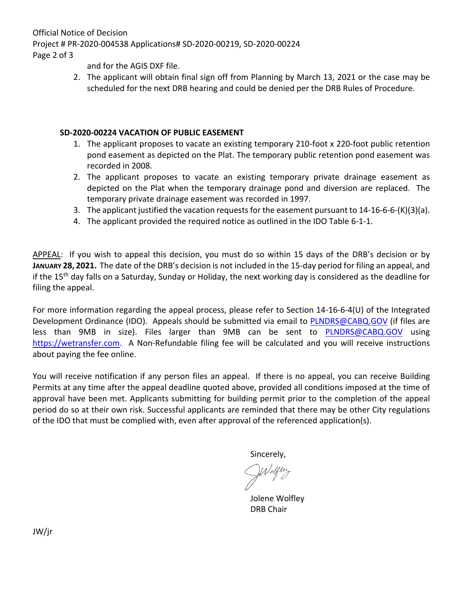Official Notice of Decision Project # PR-2020-004538 Applications# SD-2020-00219, SD-2020-00224 Page 2 of 3

and for the AGIS DXF file.

2. The applicant will obtain final sign off from Planning by March 13, 2021 or the case may be scheduled for the next DRB hearing and could be denied per the DRB Rules of Procedure.

## **SD-2020-00224 VACATION OF PUBLIC EASEMENT**

- 1. The applicant proposes to vacate an existing temporary 210-foot x 220-foot public retention pond easement as depicted on the Plat. The temporary public retention pond easement was recorded in 2008.
- 2. The applicant proposes to vacate an existing temporary private drainage easement as depicted on the Plat when the temporary drainage pond and diversion are replaced. The temporary private drainage easement was recorded in 1997.
- 3. The applicant justified the vacation requests for the easement pursuant to  $14$ -16-6-6- $(K)(3)(a)$ .
- 4. The applicant provided the required notice as outlined in the IDO Table 6-1-1.

APPEAL: If you wish to appeal this decision, you must do so within 15 days of the DRB's decision or by **JANUARY 28, 2021.** The date of the DRB's decision is not included in the 15-day period for filing an appeal, and if the 15<sup>th</sup> day falls on a Saturday, Sunday or Holiday, the next working day is considered as the deadline for filing the appeal.

For more information regarding the appeal process, please refer to Section 14-16-6-4(U) of the Integrated Development Ordinance (IDO). Appeals should be submitted via email to [PLNDRS@CABQ.GOV](mailto:PLNDRS@CABQ.GOV) (if files are less than 9MB in size). Files larger than 9MB can be sent to **[PLNDRS@CABQ.GOV](mailto:PLNDRS@CABQ.GOV)** using [https://wetransfer.com.](https://wetransfer.com/) A Non-Refundable filing fee will be calculated and you will receive instructions about paying the fee online.

You will receive notification if any person files an appeal. If there is no appeal, you can receive Building Permits at any time after the appeal deadline quoted above, provided all conditions imposed at the time of approval have been met. Applicants submitting for building permit prior to the completion of the appeal period do so at their own risk. Successful applicants are reminded that there may be other City regulations of the IDO that must be complied with, even after approval of the referenced application(s).

Sincerely,

Jolene Wolfley DRB Chair

JW/jr